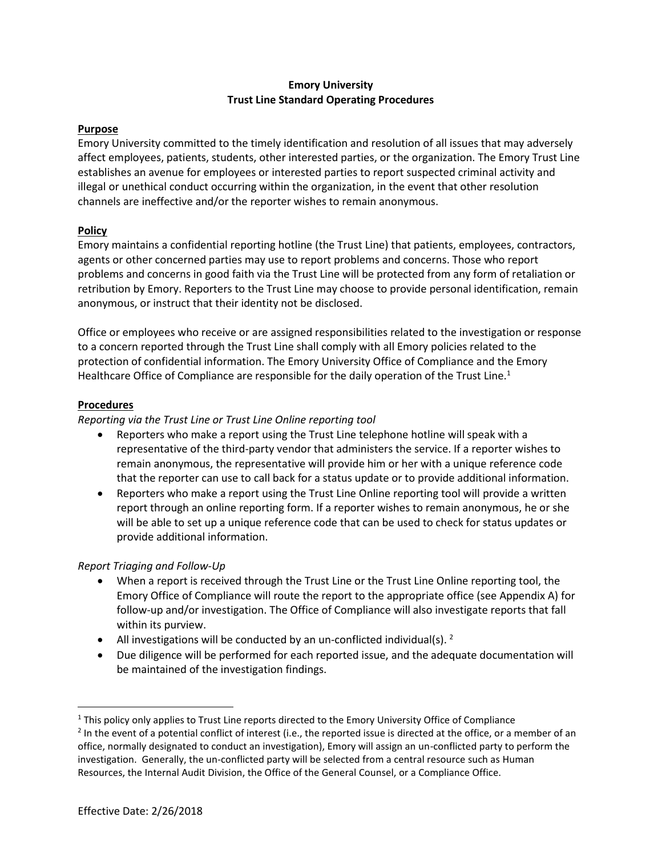## **Emory University Trust Line Standard Operating Procedures**

#### **Purpose**

Emory University committed to the timely identification and resolution of all issues that may adversely affect employees, patients, students, other interested parties, or the organization. The Emory Trust Line establishes an avenue for employees or interested parties to report suspected criminal activity and illegal or unethical conduct occurring within the organization, in the event that other resolution channels are ineffective and/or the reporter wishes to remain anonymous.

#### **Policy**

Emory maintains a confidential reporting hotline (the Trust Line) that patients, employees, contractors, agents or other concerned parties may use to report problems and concerns. Those who report problems and concerns in good faith via the Trust Line will be protected from any form of retaliation or retribution by Emory. Reporters to the Trust Line may choose to provide personal identification, remain anonymous, or instruct that their identity not be disclosed.

Office or employees who receive or are assigned responsibilities related to the investigation or response to a concern reported through the Trust Line shall comply with all Emory policies related to the protection of confidential information. The Emory University Office of Compliance and the Emory Healthcare Office of Compliance are responsible for the daily operation of the Trust Line.<sup>1</sup>

## **Procedures**

## *Reporting via the Trust Line or Trust Line Online reporting tool*

- Reporters who make a report using the Trust Line telephone hotline will speak with a representative of the third-party vendor that administers the service. If a reporter wishes to remain anonymous, the representative will provide him or her with a unique reference code that the reporter can use to call back for a status update or to provide additional information.
- Reporters who make a report using the Trust Line Online reporting tool will provide a written report through an online reporting form. If a reporter wishes to remain anonymous, he or she will be able to set up a unique reference code that can be used to check for status updates or provide additional information.

# *Report Triaging and Follow-Up*

- When a report is received through the Trust Line or the Trust Line Online reporting tool, the Emory Office of Compliance will route the report to the appropriate office (see Appendix A) for follow-up and/or investigation. The Office of Compliance will also investigate reports that fall within its purview.
- All investigations will be conducted by an un-conflicted individual(s).  $^2$
- Due diligence will be performed for each reported issue, and the adequate documentation will be maintained of the investigation findings.

l

 $<sup>1</sup>$  This policy only applies to Trust Line reports directed to the Emory University Office of Compliance</sup>

<sup>&</sup>lt;sup>2</sup> In the event of a potential conflict of interest (i.e., the reported issue is directed at the office, or a member of an office, normally designated to conduct an investigation), Emory will assign an un-conflicted party to perform the investigation. Generally, the un-conflicted party will be selected from a central resource such as Human Resources, the Internal Audit Division, the Office of the General Counsel, or a Compliance Office.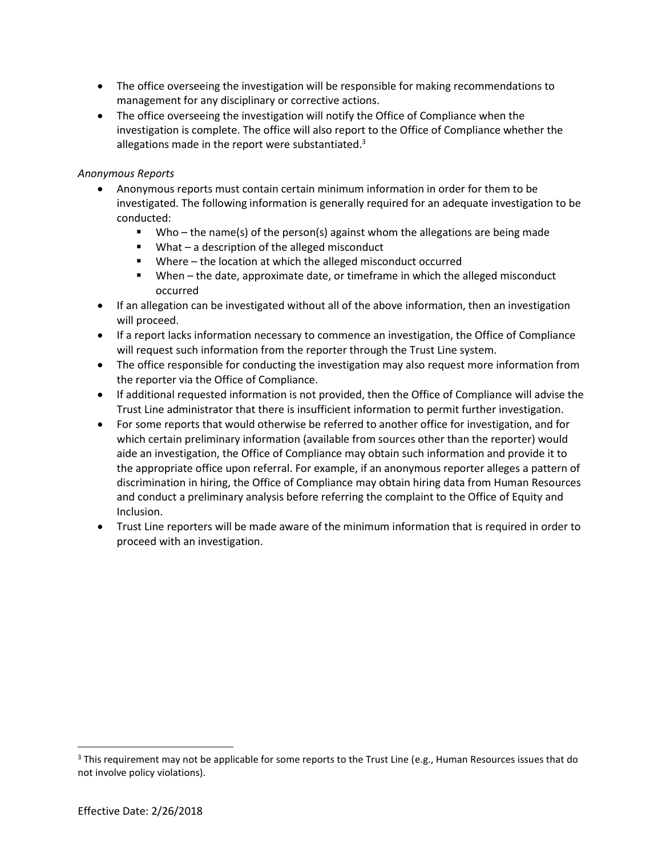- The office overseeing the investigation will be responsible for making recommendations to management for any disciplinary or corrective actions.
- The office overseeing the investigation will notify the Office of Compliance when the investigation is complete. The office will also report to the Office of Compliance whether the allegations made in the report were substantiated. $3$

## *Anonymous Reports*

- Anonymous reports must contain certain minimum information in order for them to be investigated. The following information is generally required for an adequate investigation to be conducted:
	- Who the name(s) of the person(s) against whom the allegations are being made
	- What a description of the alleged misconduct
	- Where the location at which the alleged misconduct occurred
	- When the date, approximate date, or timeframe in which the alleged misconduct occurred
- If an allegation can be investigated without all of the above information, then an investigation will proceed.
- If a report lacks information necessary to commence an investigation, the Office of Compliance will request such information from the reporter through the Trust Line system.
- The office responsible for conducting the investigation may also request more information from the reporter via the Office of Compliance.
- If additional requested information is not provided, then the Office of Compliance will advise the Trust Line administrator that there is insufficient information to permit further investigation.
- For some reports that would otherwise be referred to another office for investigation, and for which certain preliminary information (available from sources other than the reporter) would aide an investigation, the Office of Compliance may obtain such information and provide it to the appropriate office upon referral. For example, if an anonymous reporter alleges a pattern of discrimination in hiring, the Office of Compliance may obtain hiring data from Human Resources and conduct a preliminary analysis before referring the complaint to the Office of Equity and Inclusion.
- Trust Line reporters will be made aware of the minimum information that is required in order to proceed with an investigation.

l

 $3$  This requirement may not be applicable for some reports to the Trust Line (e.g., Human Resources issues that do not involve policy violations).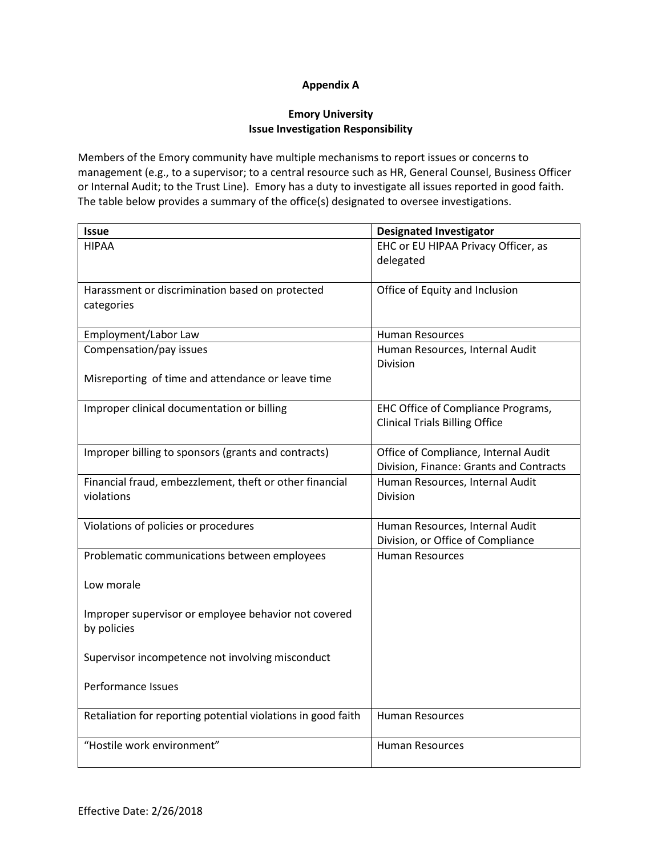## **Appendix A**

## **Emory University Issue Investigation Responsibility**

Members of the Emory community have multiple mechanisms to report issues or concerns to management (e.g., to a supervisor; to a central resource such as HR, General Counsel, Business Officer or Internal Audit; to the Trust Line). Emory has a duty to investigate all issues reported in good faith. The table below provides a summary of the office(s) designated to oversee investigations.

| <b>Issue</b>                                                 | <b>Designated Investigator</b>          |
|--------------------------------------------------------------|-----------------------------------------|
| <b>HIPAA</b>                                                 | EHC or EU HIPAA Privacy Officer, as     |
|                                                              | delegated                               |
|                                                              |                                         |
| Harassment or discrimination based on protected              | Office of Equity and Inclusion          |
| categories                                                   |                                         |
|                                                              |                                         |
| Employment/Labor Law                                         | <b>Human Resources</b>                  |
| Compensation/pay issues                                      | Human Resources, Internal Audit         |
|                                                              | <b>Division</b>                         |
| Misreporting of time and attendance or leave time            |                                         |
| Improper clinical documentation or billing                   | EHC Office of Compliance Programs,      |
|                                                              | <b>Clinical Trials Billing Office</b>   |
|                                                              |                                         |
| Improper billing to sponsors (grants and contracts)          | Office of Compliance, Internal Audit    |
|                                                              | Division, Finance: Grants and Contracts |
| Financial fraud, embezzlement, theft or other financial      | Human Resources, Internal Audit         |
| violations                                                   | <b>Division</b>                         |
|                                                              |                                         |
| Violations of policies or procedures                         | Human Resources, Internal Audit         |
|                                                              | Division, or Office of Compliance       |
| Problematic communications between employees                 | <b>Human Resources</b>                  |
|                                                              |                                         |
| Low morale                                                   |                                         |
|                                                              |                                         |
| Improper supervisor or employee behavior not covered         |                                         |
| by policies                                                  |                                         |
|                                                              |                                         |
| Supervisor incompetence not involving misconduct             |                                         |
| Performance Issues                                           |                                         |
|                                                              |                                         |
| Retaliation for reporting potential violations in good faith | <b>Human Resources</b>                  |
|                                                              |                                         |
| "Hostile work environment"                                   | <b>Human Resources</b>                  |
|                                                              |                                         |